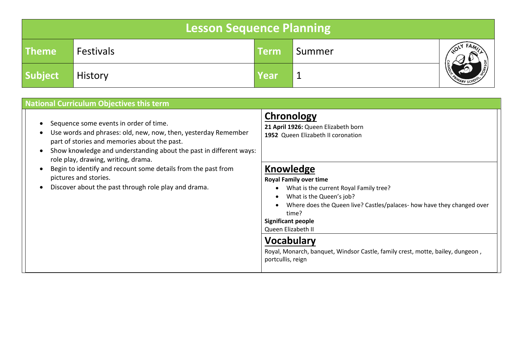|              | Lesson Sequence Planning |      |        |                 |
|--------------|--------------------------|------|--------|-----------------|
| <b>Theme</b> | <b>Festivals</b>         | Term | Summer |                 |
| Subject      | <b>History</b>           | Year |        | MIMARY SCHOOL S |

| <b>National Curriculum Objectives this term</b>                                                                                                                                                                                                                                                                                                                                                                         |                                                                                                                                                                                                                                                                                                                                                                                                                                                                               |
|-------------------------------------------------------------------------------------------------------------------------------------------------------------------------------------------------------------------------------------------------------------------------------------------------------------------------------------------------------------------------------------------------------------------------|-------------------------------------------------------------------------------------------------------------------------------------------------------------------------------------------------------------------------------------------------------------------------------------------------------------------------------------------------------------------------------------------------------------------------------------------------------------------------------|
| Sequence some events in order of time.<br>Use words and phrases: old, new, now, then, yesterday Remember<br>part of stories and memories about the past.<br>Show knowledge and understanding about the past in different ways:<br>role play, drawing, writing, drama.<br>Begin to identify and recount some details from the past from<br>pictures and stories.<br>Discover about the past through role play and drama. | Chronology<br>21 April 1926: Queen Elizabeth born<br>1952 Queen Elizabeth II coronation<br>Knowledge<br><b>Royal Family over time</b><br>What is the current Royal Family tree?<br>What is the Queen's job?<br>Where does the Queen live? Castles/palaces- how have they changed over<br>time?<br><b>Significant people</b><br>Queen Elizabeth II<br><b>Vocabulary</b><br>Royal, Monarch, banquet, Windsor Castle, family crest, motte, bailey, dungeon,<br>portcullis, reign |
|                                                                                                                                                                                                                                                                                                                                                                                                                         |                                                                                                                                                                                                                                                                                                                                                                                                                                                                               |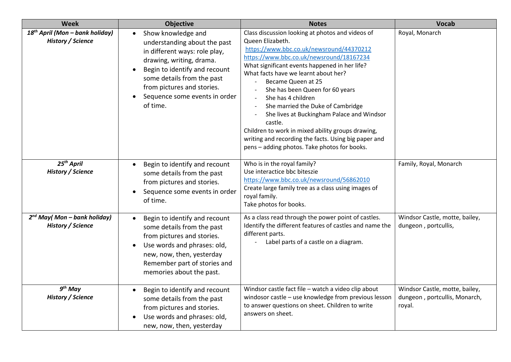| <b>Week</b>                                                             | <b>Objective</b>                                                                                                                                                                                                                                          | <b>Notes</b>                                                                                                                                                                                                                                                                                                                                                                                                                                                                                                                                                                                    | <b>Vocab</b>                                                              |
|-------------------------------------------------------------------------|-----------------------------------------------------------------------------------------------------------------------------------------------------------------------------------------------------------------------------------------------------------|-------------------------------------------------------------------------------------------------------------------------------------------------------------------------------------------------------------------------------------------------------------------------------------------------------------------------------------------------------------------------------------------------------------------------------------------------------------------------------------------------------------------------------------------------------------------------------------------------|---------------------------------------------------------------------------|
| 18 <sup>th</sup> April (Mon - bank holiday)<br><b>History / Science</b> | Show knowledge and<br>understanding about the past<br>in different ways: role play,<br>drawing, writing, drama.<br>Begin to identify and recount<br>some details from the past<br>from pictures and stories.<br>Sequence some events in order<br>of time. | Class discussion looking at photos and videos of<br>Queen Elizabeth.<br>https://www.bbc.co.uk/newsround/44370212<br>https://www.bbc.co.uk/newsround/18167234<br>What significant events happened in her life?<br>What facts have we learnt about her?<br>Became Queen at 25<br>She has been Queen for 60 years<br>She has 4 children<br>She married the Duke of Cambridge<br>She lives at Buckingham Palace and Windsor<br>castle.<br>Children to work in mixed ability groups drawing,<br>writing and recording the facts. Using big paper and<br>pens - adding photos. Take photos for books. | Royal, Monarch                                                            |
| 25 <sup>th</sup> April<br><b>History / Science</b>                      | Begin to identify and recount<br>some details from the past<br>from pictures and stories.<br>Sequence some events in order<br>of time.                                                                                                                    | Who is in the royal family?<br>Use interactice bbc biteszie<br>https://www.bbc.co.uk/newsround/56862010<br>Create large family tree as a class using images of<br>royal family.<br>Take photos for books.                                                                                                                                                                                                                                                                                                                                                                                       | Family, Royal, Monarch                                                    |
| $2^{nd}$ May(Mon - bank holiday)<br><b>History / Science</b>            | Begin to identify and recount<br>some details from the past<br>from pictures and stories.<br>Use words and phrases: old,<br>new, now, then, yesterday<br>Remember part of stories and<br>memories about the past.                                         | As a class read through the power point of castles.<br>Identify the different features of castles and name the<br>different parts.<br>Label parts of a castle on a diagram.                                                                                                                                                                                                                                                                                                                                                                                                                     | Windsor Castle, motte, bailey,<br>dungeon, portcullis,                    |
| $9th$ May<br><b>History / Science</b>                                   | Begin to identify and recount<br>some details from the past<br>from pictures and stories.<br>Use words and phrases: old,<br>new, now, then, yesterday                                                                                                     | Windsor castle fact file - watch a video clip about<br>windosor castle - use knowledge from previous lesson<br>to answer questions on sheet. Children to write<br>answers on sheet.                                                                                                                                                                                                                                                                                                                                                                                                             | Windsor Castle, motte, bailey,<br>dungeon, portcullis, Monarch,<br>royal. |